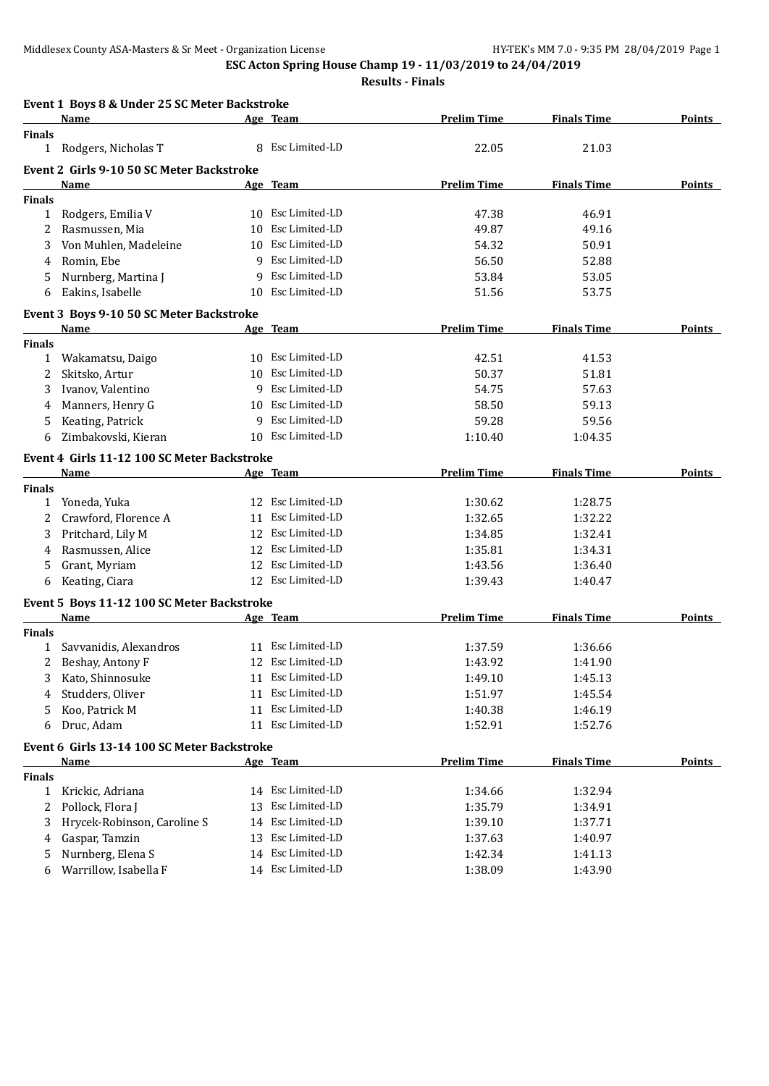|               | Event 1 Boys 8 & Under 25 SC Meter Backstroke |    |                   |                    |                    |               |
|---------------|-----------------------------------------------|----|-------------------|--------------------|--------------------|---------------|
|               | <u>Name</u>                                   |    | Age Team          | <b>Prelim Time</b> | <b>Finals Time</b> | <b>Points</b> |
| <b>Finals</b> |                                               |    |                   |                    |                    |               |
| $\mathbf{1}$  | Rodgers, Nicholas T                           |    | 8 Esc Limited-LD  | 22.05              | 21.03              |               |
|               | Event 2 Girls 9-10 50 SC Meter Backstroke     |    |                   |                    |                    |               |
|               | Name                                          |    | Age Team          | <b>Prelim Time</b> | <b>Finals Time</b> | <b>Points</b> |
| <b>Finals</b> |                                               |    |                   |                    |                    |               |
| 1             | Rodgers, Emilia V                             |    | 10 Esc Limited-LD | 47.38              | 46.91              |               |
| 2             | Rasmussen, Mia                                | 10 | Esc Limited-LD    | 49.87              | 49.16              |               |
| 3             | Von Muhlen, Madeleine                         |    | 10 Esc Limited-LD | 54.32              | 50.91              |               |
| 4             | Romin, Ebe                                    | 9  | Esc Limited-LD    | 56.50              | 52.88              |               |
| 5             | Nurnberg, Martina J                           | 9  | Esc Limited-LD    | 53.84              | 53.05              |               |
| 6             | Eakins, Isabelle                              | 10 | Esc Limited-LD    | 51.56              | 53.75              |               |
|               | Event 3 Boys 9-10 50 SC Meter Backstroke      |    |                   |                    |                    |               |
|               | Name                                          |    | Age Team          | <b>Prelim Time</b> | <b>Finals Time</b> | Points        |
| <b>Finals</b> |                                               |    |                   |                    |                    |               |
| 1             | Wakamatsu, Daigo                              |    | 10 Esc Limited-LD | 42.51              | 41.53              |               |
| 2             | Skitsko, Artur                                | 10 | Esc Limited-LD    | 50.37              | 51.81              |               |
| 3             | Ivanov, Valentino                             | 9  | Esc Limited-LD    | 54.75              | 57.63              |               |
| 4             | Manners, Henry G                              |    | 10 Esc Limited-LD | 58.50              | 59.13              |               |
| 5             | Keating, Patrick                              |    | 9 Esc Limited-LD  | 59.28              | 59.56              |               |
| 6             | Zimbakovski, Kieran                           |    | 10 Esc Limited-LD | 1:10.40            | 1:04.35            |               |
|               | Event 4 Girls 11-12 100 SC Meter Backstroke   |    |                   |                    |                    |               |
|               | Name                                          |    | Age Team          | <b>Prelim Time</b> | <b>Finals Time</b> | Points        |
| <b>Finals</b> |                                               |    |                   |                    |                    |               |
| 1             | Yoneda, Yuka                                  |    | 12 Esc Limited-LD | 1:30.62            | 1:28.75            |               |
| 2             | Crawford, Florence A                          |    | 11 Esc Limited-LD | 1:32.65            | 1:32.22            |               |
| 3             | Pritchard, Lily M                             |    | 12 Esc Limited-LD | 1:34.85            | 1:32.41            |               |
| 4             | Rasmussen, Alice                              |    | 12 Esc Limited-LD | 1:35.81            | 1:34.31            |               |
| 5             | Grant, Myriam                                 |    | 12 Esc Limited-LD | 1:43.56            | 1:36.40            |               |
| 6             | Keating, Ciara                                |    | 12 Esc Limited-LD | 1:39.43            | 1:40.47            |               |
|               |                                               |    |                   |                    |                    |               |
|               | Event 5 Boys 11-12 100 SC Meter Backstroke    |    |                   |                    | <b>Finals Time</b> |               |
| <b>Finals</b> | Name                                          |    | Age Team          | <b>Prelim Time</b> |                    | <b>Points</b> |
| 1             | Savvanidis, Alexandros                        |    | 11 Esc Limited-LD | 1:37.59            | 1:36.66            |               |
|               | Beshay, Antony F                              |    | 12 Esc Limited-LD | 1:43.92            | 1:41.90            |               |
| 3             | Kato, Shinnosuke                              |    | 11 Esc Limited-LD | 1:49.10            | 1:45.13            |               |
| 4             | Studders, Oliver                              |    | 11 Esc Limited-LD | 1:51.97            | 1:45.54            |               |
| 5             | Koo, Patrick M                                | 11 | Esc Limited-LD    | 1:40.38            | 1:46.19            |               |
| 6             | Druc, Adam                                    |    | 11 Esc Limited-LD | 1:52.91            | 1:52.76            |               |
|               |                                               |    |                   |                    |                    |               |
|               | Event 6 Girls 13-14 100 SC Meter Backstroke   |    |                   |                    |                    |               |
|               | <b>Name</b>                                   |    | Age Team          | <b>Prelim Time</b> | <b>Finals Time</b> | <b>Points</b> |
| <b>Finals</b> |                                               |    |                   |                    |                    |               |
| $\mathbf{1}$  | Krickic, Adriana                              |    | 14 Esc Limited-LD | 1:34.66            | 1:32.94            |               |
| 2             | Pollock, Flora J                              | 13 | Esc Limited-LD    | 1:35.79            | 1:34.91            |               |
| 3             | Hrycek-Robinson, Caroline S                   | 14 | Esc Limited-LD    | 1:39.10            | 1:37.71            |               |
| 4             | Gaspar, Tamzin                                | 13 | Esc Limited-LD    | 1:37.63            | 1:40.97            |               |
| 5             | Nurnberg, Elena S                             |    | 14 Esc Limited-LD | 1:42.34            | 1:41.13            |               |
| 6             | Warrillow, Isabella F                         |    | 14 Esc Limited-LD | 1:38.09            | 1:43.90            |               |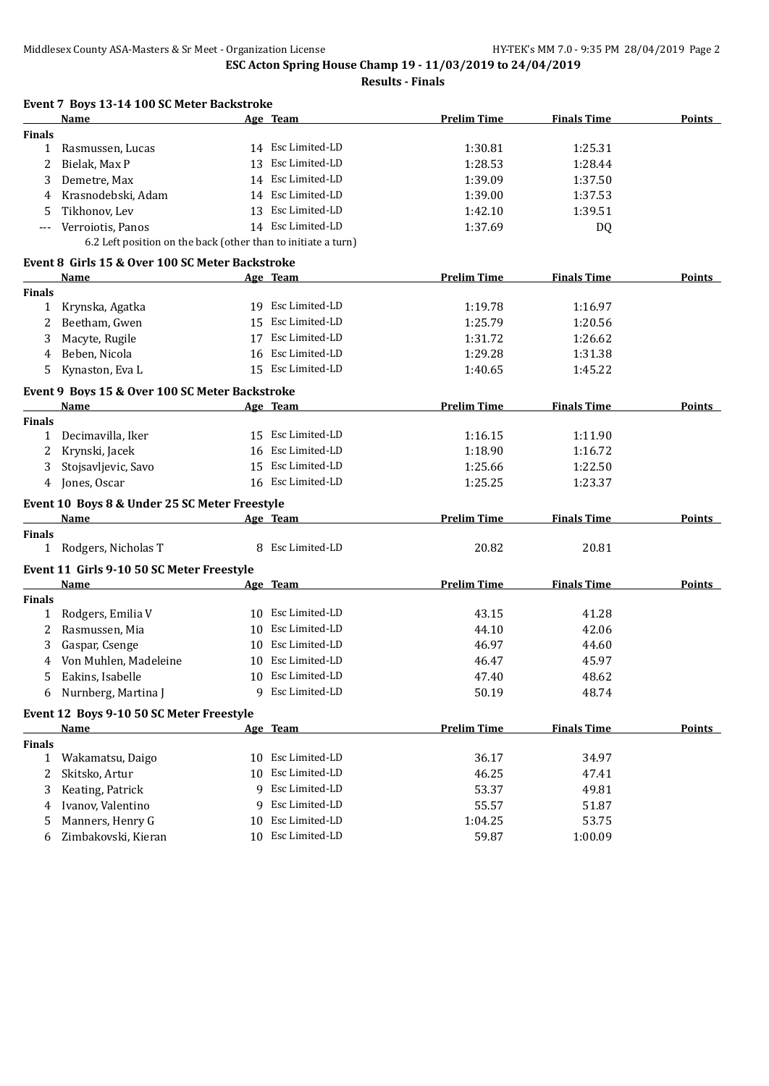|               | Event 7 Boys 13-14 100 SC Meter Backstroke                    |    |                   |                    |                    |               |
|---------------|---------------------------------------------------------------|----|-------------------|--------------------|--------------------|---------------|
|               | <b>Name</b>                                                   |    | Age Team          | <b>Prelim Time</b> | <b>Finals Time</b> | <b>Points</b> |
| <b>Finals</b> |                                                               |    |                   |                    |                    |               |
| $\mathbf{1}$  | Rasmussen, Lucas                                              |    | 14 Esc Limited-LD | 1:30.81            | 1:25.31            |               |
| 2             | Bielak, Max P                                                 |    | 13 Esc Limited-LD | 1:28.53            | 1:28.44            |               |
| 3             | Demetre, Max                                                  |    | 14 Esc Limited-LD | 1:39.09            | 1:37.50            |               |
| 4             | Krasnodebski, Adam                                            |    | 14 Esc Limited-LD | 1:39.00            | 1:37.53            |               |
| 5             | Tikhonov, Lev                                                 |    | 13 Esc Limited-LD | 1:42.10            | 1:39.51            |               |
|               | Verroiotis, Panos                                             |    | 14 Esc Limited-LD | 1:37.69            | DQ                 |               |
|               | 6.2 Left position on the back (other than to initiate a turn) |    |                   |                    |                    |               |
|               | Event 8 Girls 15 & Over 100 SC Meter Backstroke               |    |                   |                    |                    |               |
|               | Name                                                          |    | <u>Age Team</u>   | <b>Prelim Time</b> | <b>Finals Time</b> | <b>Points</b> |
| <b>Finals</b> |                                                               |    |                   |                    |                    |               |
| 1             | Krynska, Agatka                                               |    | 19 Esc Limited-LD | 1:19.78            | 1:16.97            |               |
| 2             | Beetham, Gwen                                                 | 15 | Esc Limited-LD    | 1:25.79            | 1:20.56            |               |
| 3             | Macyte, Rugile                                                | 17 | Esc Limited-LD    | 1:31.72            | 1:26.62            |               |
| 4             | Beben, Nicola                                                 | 16 | Esc Limited-LD    | 1:29.28            | 1:31.38            |               |
| 5             | Kynaston, Eva L                                               |    | 15 Esc Limited-LD | 1:40.65            | 1:45.22            |               |
|               | Event 9 Boys 15 & Over 100 SC Meter Backstroke                |    |                   |                    |                    |               |
|               | Name                                                          |    | Age Team          | <b>Prelim Time</b> | <b>Finals Time</b> | <b>Points</b> |
| <b>Finals</b> |                                                               |    |                   |                    |                    |               |
| 1             | Decimavilla, Iker                                             |    | 15 Esc Limited-LD | 1:16.15            | 1:11.90            |               |
| 2             | Krynski, Jacek                                                |    | 16 Esc Limited-LD | 1:18.90            | 1:16.72            |               |
| 3             | Stojsavljevic, Savo                                           |    | 15 Esc Limited-LD | 1:25.66            | 1:22.50            |               |
| 4             | Jones, Oscar                                                  |    | 16 Esc Limited-LD | 1:25.25            | 1:23.37            |               |
|               |                                                               |    |                   |                    |                    |               |
|               | Event 10 Boys 8 & Under 25 SC Meter Freestyle                 |    |                   |                    |                    |               |
| <b>Finals</b> | Name                                                          |    | Age Team          | <b>Prelim Time</b> | <b>Finals Time</b> | <b>Points</b> |
|               | 1 Rodgers, Nicholas T                                         |    | 8 Esc Limited-LD  | 20.82              | 20.81              |               |
|               |                                                               |    |                   |                    |                    |               |
|               | Event 11 Girls 9-10 50 SC Meter Freestyle                     |    |                   |                    |                    |               |
|               | Name                                                          |    | Age Team          | <b>Prelim Time</b> | <b>Finals Time</b> | <b>Points</b> |
| <b>Finals</b> |                                                               |    | 10 Esc Limited-LD |                    |                    |               |
| 1             | Rodgers, Emilia V                                             |    | 10 Esc Limited-LD | 43.15              | 41.28              |               |
| 2             | Rasmussen, Mia                                                |    | 10 Esc Limited-LD | 44.10              | 42.06              |               |
| 3             | Gaspar, Csenge                                                |    | 10 Esc Limited-LD | 46.97              | 44.60              |               |
| 4             | Von Muhlen, Madeleine                                         |    |                   | 46.47              | 45.97              |               |
|               | Eakins, Isabelle                                              |    | 10 Esc Limited-LD | 47.40              | 48.62              |               |
| 6             | Nurnberg, Martina J                                           |    | 9 Esc Limited-LD  | 50.19              | 48.74              |               |
|               | Event 12 Boys 9-10 50 SC Meter Freestyle                      |    |                   |                    |                    |               |
|               | Name                                                          |    | Age Team          | <b>Prelim Time</b> | <b>Finals Time</b> | <b>Points</b> |
| <b>Finals</b> |                                                               |    |                   |                    |                    |               |
| $\mathbf{1}$  | Wakamatsu, Daigo                                              |    | 10 Esc Limited-LD | 36.17              | 34.97              |               |
| 2             | Skitsko, Artur                                                | 10 | Esc Limited-LD    | 46.25              | 47.41              |               |
| 3             | Keating, Patrick                                              |    | 9 Esc Limited-LD  | 53.37              | 49.81              |               |
| 4             | Ivanov, Valentino                                             | 9  | Esc Limited-LD    | 55.57              | 51.87              |               |
| 5             | Manners, Henry G                                              | 10 | Esc Limited-LD    | 1:04.25            | 53.75              |               |
| 6             | Zimbakovski, Kieran                                           | 10 | Esc Limited-LD    | 59.87              | 1:00.09            |               |
|               |                                                               |    |                   |                    |                    |               |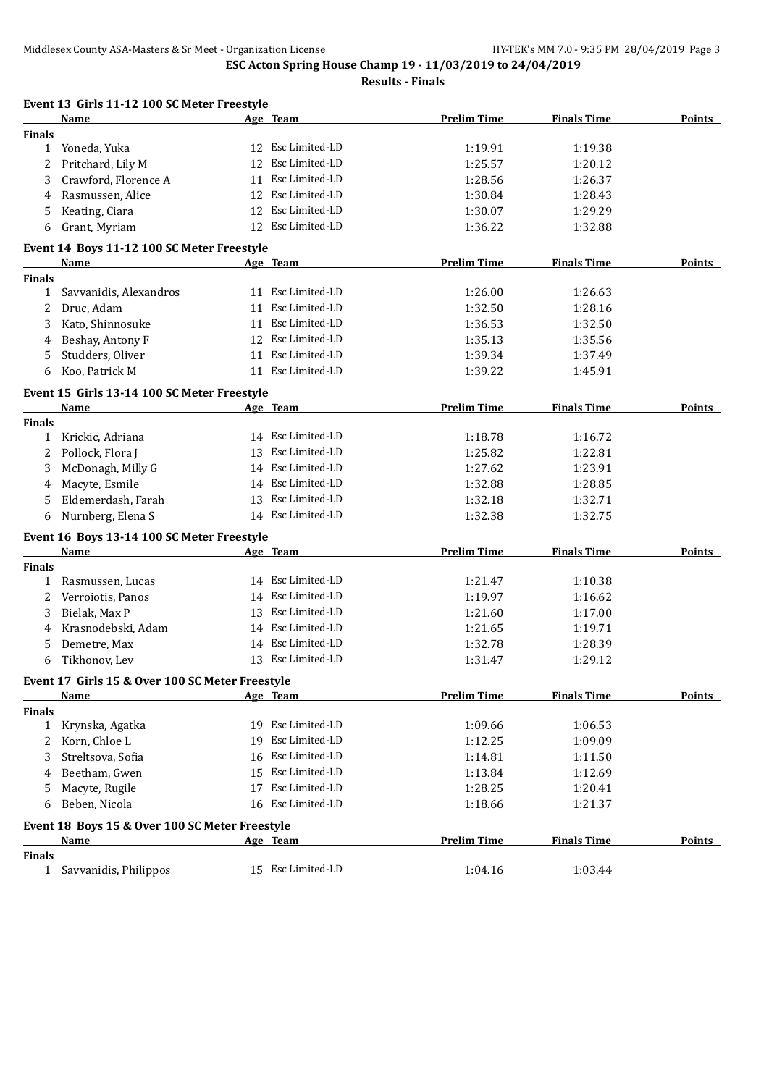|               | Event 13 Girls 11-12 100 SC Meter Freestyle     |                   |                    |                    |               |
|---------------|-------------------------------------------------|-------------------|--------------------|--------------------|---------------|
|               | Name                                            | Age Team          | <b>Prelim Time</b> | <b>Finals Time</b> | <b>Points</b> |
| Finals        |                                                 |                   |                    |                    |               |
|               | 1 Yoneda, Yuka                                  | 12 Esc Limited-LD | 1:19.91            | 1:19.38            |               |
| 2             | Pritchard, Lily M                               | 12 Esc Limited-LD | 1:25.57            | 1:20.12            |               |
| 3             | Crawford, Florence A                            | 11 Esc Limited-LD | 1:28.56            | 1:26.37            |               |
| 4             | Rasmussen, Alice                                | 12 Esc Limited-LD | 1:30.84            | 1:28.43            |               |
| 5             | Keating, Ciara                                  | 12 Esc Limited-LD | 1:30.07            | 1:29.29            |               |
| 6             | Grant, Myriam                                   | 12 Esc Limited-LD | 1:36.22            | 1:32.88            |               |
|               | Event 14 Boys 11-12 100 SC Meter Freestyle      |                   |                    |                    |               |
|               | <b>Name</b>                                     | Age Team          | <b>Prelim Time</b> | <b>Finals Time</b> | <b>Points</b> |
| Finals        |                                                 |                   |                    |                    |               |
| 1             | Savvanidis, Alexandros                          | 11 Esc Limited-LD | 1:26.00            | 1:26.63            |               |
| 2             | Druc, Adam                                      | 11 Esc Limited-LD | 1:32.50            | 1:28.16            |               |
| 3             | Kato, Shinnosuke                                | 11 Esc Limited-LD | 1:36.53            | 1:32.50            |               |
| 4             | Beshay, Antony F                                | 12 Esc Limited-LD | 1:35.13            | 1:35.56            |               |
| 5             | Studders, Oliver                                | 11 Esc Limited-LD | 1:39.34            | 1:37.49            |               |
| 6             | Koo, Patrick M                                  | 11 Esc Limited-LD | 1:39.22            | 1:45.91            |               |
|               | Event 15 Girls 13-14 100 SC Meter Freestyle     |                   |                    |                    |               |
|               | Name                                            | Age Team          | <b>Prelim Time</b> | <b>Finals Time</b> | Points        |
| Finals        |                                                 |                   |                    |                    |               |
| 1             | Krickic, Adriana                                | 14 Esc Limited-LD | 1:18.78            | 1:16.72            |               |
| 2             | Pollock, Flora J                                | 13 Esc Limited-LD | 1:25.82            | 1:22.81            |               |
| 3             | McDonagh, Milly G                               | 14 Esc Limited-LD | 1:27.62            | 1:23.91            |               |
| 4             | Macyte, Esmile                                  | 14 Esc Limited-LD | 1:32.88            | 1:28.85            |               |
| 5             | Eldemerdash, Farah                              | 13 Esc Limited-LD | 1:32.18            | 1:32.71            |               |
| 6             | Nurnberg, Elena S                               | 14 Esc Limited-LD | 1:32.38            | 1:32.75            |               |
|               | Event 16 Boys 13-14 100 SC Meter Freestyle      |                   |                    |                    |               |
|               | Name                                            | Age Team          | <b>Prelim Time</b> | <b>Finals Time</b> | <b>Points</b> |
| Finals        |                                                 |                   |                    |                    |               |
| 1             | Rasmussen, Lucas                                | 14 Esc Limited-LD | 1:21.47            | 1:10.38            |               |
| 2             | Verroiotis, Panos                               | 14 Esc Limited-LD | 1:19.97            | 1:16.62            |               |
| 3             | Bielak, Max P                                   | 13 Esc Limited-LD | 1:21.60            | 1:17.00            |               |
| 4             | Krasnodebski, Adam                              | 14 Esc Limited-LD | 1:21.65            | 1:19.71            |               |
| 5             | Demetre, Max                                    | 14 Esc Limited-LD | 1:32.78            | 1:28.39            |               |
| 6             | Tikhonov, Lev                                   | 13 Esc Limited-LD | 1:31.47            | 1:29.12            |               |
|               | Event 17 Girls 15 & Over 100 SC Meter Freestyle |                   |                    |                    |               |
|               | Name                                            | Age Team          | <b>Prelim Time</b> | <b>Finals Time</b> | <b>Points</b> |
| <b>Finals</b> |                                                 |                   |                    |                    |               |
| $\mathbf{1}$  | Krynska, Agatka                                 | 19 Esc Limited-LD | 1:09.66            | 1:06.53            |               |
| 2             | Korn, Chloe L                                   | 19 Esc Limited-LD | 1:12.25            | 1:09.09            |               |
| 3             | Streltsova, Sofia                               | 16 Esc Limited-LD | 1:14.81            | 1:11.50            |               |
| 4             | Beetham, Gwen                                   | 15 Esc Limited-LD | 1:13.84            | 1:12.69            |               |
| 5             | Macyte, Rugile                                  | 17 Esc Limited-LD | 1:28.25            | 1:20.41            |               |
| 6             | Beben, Nicola                                   | 16 Esc Limited-LD | 1:18.66            | 1:21.37            |               |
|               | Event 18 Boys 15 & Over 100 SC Meter Freestyle  |                   |                    |                    |               |
|               | <u>Name</u>                                     | Age Team          | <b>Prelim Time</b> | <b>Finals Time</b> | <b>Points</b> |
| <b>Finals</b> |                                                 |                   |                    |                    |               |
|               | 1 Savvanidis, Philippos                         | 15 Esc Limited-LD | 1:04.16            | 1:03.44            |               |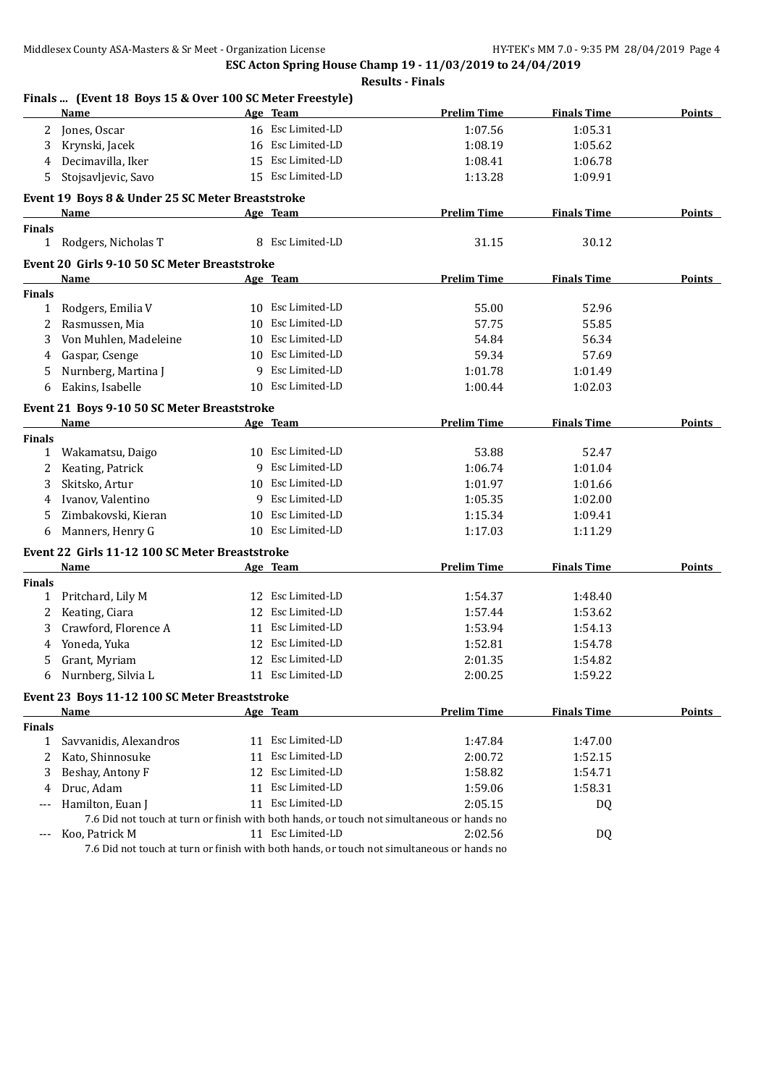**ESC Acton Spring House Champ 19 - 11/03/2019 to 24/04/2019 Results - Finals**

|               | Finals  (Event 18 Boys 15 & Over 100 SC Meter Freestyle)<br>Name                           |    | Age Team          | <b>Prelim Time</b> | <b>Finals Time</b> | <b>Points</b> |
|---------------|--------------------------------------------------------------------------------------------|----|-------------------|--------------------|--------------------|---------------|
| 2             | Jones, Oscar                                                                               |    | 16 Esc Limited-LD | 1:07.56            | 1:05.31            |               |
| 3             | Krynski, Jacek                                                                             |    | 16 Esc Limited-LD | 1:08.19            | 1:05.62            |               |
| 4             | Decimavilla, Iker                                                                          | 15 | Esc Limited-LD    | 1:08.41            | 1:06.78            |               |
| 5             | Stojsavljevic, Savo                                                                        |    | 15 Esc Limited-LD | 1:13.28            | 1:09.91            |               |
|               |                                                                                            |    |                   |                    |                    |               |
|               | Event 19 Boys 8 & Under 25 SC Meter Breaststroke                                           |    |                   |                    |                    |               |
|               | Name                                                                                       |    | Age Team          | <b>Prelim Time</b> | <b>Finals Time</b> | Points        |
| <b>Finals</b> |                                                                                            |    |                   |                    |                    |               |
| $\mathbf{1}$  | Rodgers, Nicholas T                                                                        |    | 8 Esc Limited-LD  | 31.15              | 30.12              |               |
|               | Event 20 Girls 9-10 50 SC Meter Breaststroke                                               |    |                   |                    |                    |               |
|               | Name                                                                                       |    | Age Team          | <b>Prelim Time</b> | <b>Finals Time</b> | <b>Points</b> |
| <b>Finals</b> |                                                                                            |    |                   |                    |                    |               |
| $\mathbf{1}$  | Rodgers, Emilia V                                                                          |    | 10 Esc Limited-LD | 55.00              | 52.96              |               |
| 2             | Rasmussen, Mia                                                                             | 10 | Esc Limited-LD    | 57.75              | 55.85              |               |
| 3             | Von Muhlen, Madeleine                                                                      | 10 | Esc Limited-LD    | 54.84              | 56.34              |               |
| 4             | Gaspar, Csenge                                                                             | 10 | Esc Limited-LD    | 59.34              | 57.69              |               |
| 5             | Nurnberg, Martina J                                                                        | 9  | Esc Limited-LD    | 1:01.78            | 1:01.49            |               |
| 6             | Eakins, Isabelle                                                                           | 10 | Esc Limited-LD    | 1:00.44            | 1:02.03            |               |
|               | Event 21 Boys 9-10 50 SC Meter Breaststroke                                                |    |                   |                    |                    |               |
|               | Name                                                                                       |    | Age Team          | <b>Prelim Time</b> | <b>Finals Time</b> | <b>Points</b> |
| <b>Finals</b> |                                                                                            |    |                   |                    |                    |               |
| 1             | Wakamatsu, Daigo                                                                           |    | 10 Esc Limited-LD | 53.88              | 52.47              |               |
| 2             | Keating, Patrick                                                                           |    | 9 Esc Limited-LD  | 1:06.74            | 1:01.04            |               |
| 3             | Skitsko, Artur                                                                             | 10 | Esc Limited-LD    | 1:01.97            | 1:01.66            |               |
| 4             | Ivanov, Valentino                                                                          |    | 9 Esc Limited-LD  | 1:05.35            | 1:02.00            |               |
| 5             | Zimbakovski, Kieran                                                                        | 10 | Esc Limited-LD    | 1:15.34            | 1:09.41            |               |
| 6             | Manners, Henry G                                                                           |    | 10 Esc Limited-LD | 1:17.03            | 1:11.29            |               |
|               |                                                                                            |    |                   |                    |                    |               |
|               | Event 22 Girls 11-12 100 SC Meter Breaststroke<br>Name                                     |    |                   | <b>Prelim Time</b> | <b>Finals Time</b> | <b>Points</b> |
| <b>Finals</b> |                                                                                            |    | Age Team          |                    |                    |               |
| $\mathbf{1}$  | Pritchard, Lily M                                                                          |    | 12 Esc Limited-LD | 1:54.37            | 1:48.40            |               |
| 2             | Keating, Ciara                                                                             |    | 12 Esc Limited-LD | 1:57.44            | 1:53.62            |               |
| 3             | Crawford, Florence A                                                                       |    | 11 Esc Limited-LD | 1:53.94            | 1:54.13            |               |
| 4             | Yoneda, Yuka                                                                               | 12 | Esc Limited-LD    | 1:52.81            | 1:54.78            |               |
| 5             | Grant, Myriam                                                                              |    | 12 Esc Limited-LD | 2:01.35            | 1:54.82            |               |
|               | Nurnberg, Silvia L                                                                         |    | 11 Esc Limited-LD | 2:00.25            | 1:59.22            |               |
| 6             |                                                                                            |    |                   |                    |                    |               |
|               | Event 23 Boys 11-12 100 SC Meter Breaststroke                                              |    |                   |                    |                    |               |
|               | Name                                                                                       |    | Age Team          | <b>Prelim Time</b> | <b>Finals Time</b> | <b>Points</b> |
| <b>Finals</b> |                                                                                            |    |                   |                    |                    |               |
| $\mathbf{1}$  | Savvanidis, Alexandros                                                                     |    | 11 Esc Limited-LD | 1:47.84            | 1:47.00            |               |
| 2             | Kato, Shinnosuke                                                                           |    | 11 Esc Limited-LD | 2:00.72            | 1:52.15            |               |
| 3             | Beshay, Antony F                                                                           |    | 12 Esc Limited-LD | 1:58.82            | 1:54.71            |               |
| 4             | Druc, Adam                                                                                 |    | 11 Esc Limited-LD | 1:59.06            | 1:58.31            |               |
| ---           | Hamilton, Euan J                                                                           |    | 11 Esc Limited-LD | 2:05.15            | DQ                 |               |
|               | 7.6 Did not touch at turn or finish with both hands, or touch not simultaneous or hands no |    |                   |                    |                    |               |
| $---$         | Koo, Patrick M                                                                             |    | 11 Esc Limited-LD | 2:02.56            | DQ                 |               |
|               | 7.6 Did not touch at turn or finish with both hands, or touch not simultaneous or hands no |    |                   |                    |                    |               |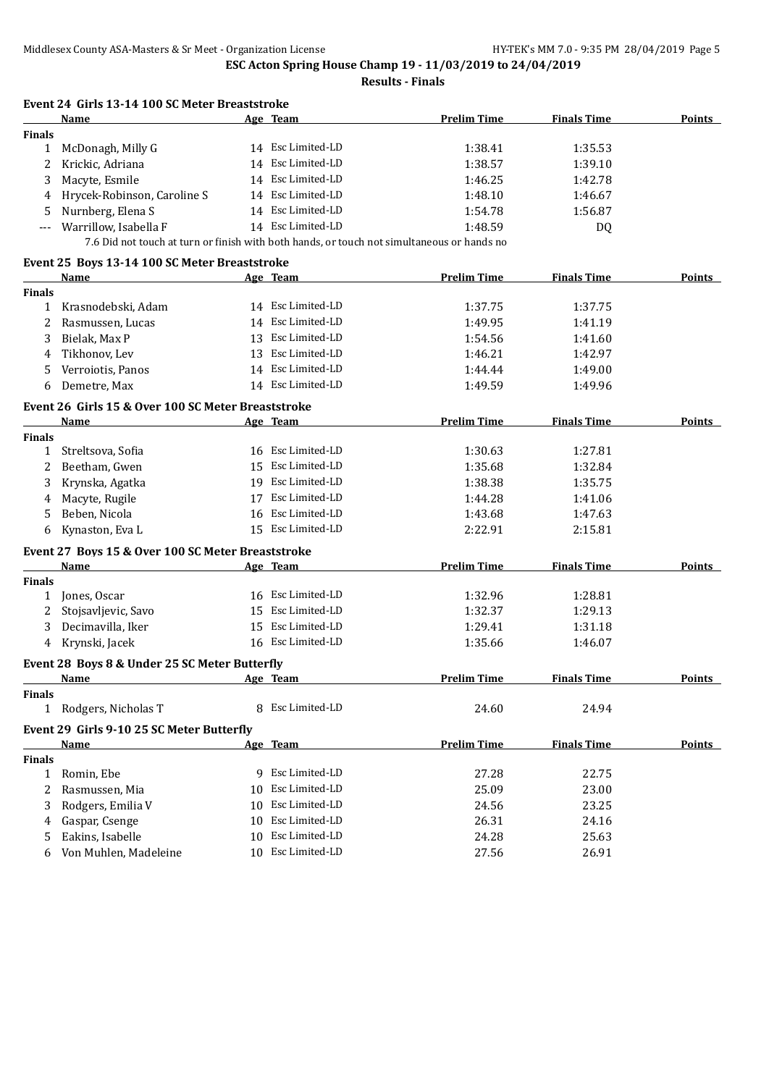|               | Event 24 Girls 13-14 100 SC Meter Breaststroke                                                                                |    |                   |                    |                    |               |
|---------------|-------------------------------------------------------------------------------------------------------------------------------|----|-------------------|--------------------|--------------------|---------------|
|               | <b>Name</b>                                                                                                                   |    | Age Team          | <b>Prelim Time</b> | <b>Finals Time</b> | <b>Points</b> |
| <b>Finals</b> |                                                                                                                               |    |                   |                    |                    |               |
| $\mathbf{1}$  | McDonagh, Milly G                                                                                                             |    | 14 Esc Limited-LD | 1:38.41            | 1:35.53            |               |
| 2             | Krickic, Adriana                                                                                                              |    | 14 Esc Limited-LD | 1:38.57            | 1:39.10            |               |
| 3             | Macyte, Esmile                                                                                                                |    | 14 Esc Limited-LD | 1:46.25            | 1:42.78            |               |
| 4             | Hrycek-Robinson, Caroline S                                                                                                   |    | 14 Esc Limited-LD | 1:48.10            | 1:46.67            |               |
| 5             | Nurnberg, Elena S                                                                                                             |    | 14 Esc Limited-LD | 1:54.78            | 1:56.87            |               |
| ---           | Warrillow, Isabella F                                                                                                         |    | 14 Esc Limited-LD | 1:48.59            | DQ                 |               |
|               | 7.6 Did not touch at turn or finish with both hands, or touch not simultaneous or hands no                                    |    |                   |                    |                    |               |
|               | Event 25 Boys 13-14 100 SC Meter Breaststroke                                                                                 |    |                   |                    |                    |               |
|               | Name                                                                                                                          |    | Age Team          | <b>Prelim Time</b> | <b>Finals Time</b> | <b>Points</b> |
| <b>Finals</b> |                                                                                                                               |    |                   |                    |                    |               |
|               | 1 Krasnodebski, Adam                                                                                                          |    | 14 Esc Limited-LD | 1:37.75            | 1:37.75            |               |
| 2             | Rasmussen, Lucas                                                                                                              |    | 14 Esc Limited-LD | 1:49.95            | 1:41.19            |               |
| 3             | Bielak, Max P                                                                                                                 |    | 13 Esc Limited-LD | 1:54.56            | 1:41.60            |               |
| 4             | Tikhonov, Lev                                                                                                                 |    | 13 Esc Limited-LD | 1:46.21            | 1:42.97            |               |
| 5             | Verroiotis, Panos                                                                                                             |    | 14 Esc Limited-LD | 1:44.44            | 1:49.00            |               |
| 6             | Demetre, Max                                                                                                                  |    | 14 Esc Limited-LD | 1:49.59            | 1:49.96            |               |
|               | Event 26 Girls 15 & Over 100 SC Meter Breaststroke                                                                            |    |                   |                    |                    |               |
|               | <b>Name</b>                                                                                                                   |    | Age Team          | <b>Prelim Time</b> | <b>Finals Time</b> | Points        |
| <b>Finals</b> |                                                                                                                               |    |                   |                    |                    |               |
| $\mathbf{1}$  | Streltsova, Sofia                                                                                                             |    | 16 Esc Limited-LD | 1:30.63            | 1:27.81            |               |
| 2             | Beetham, Gwen                                                                                                                 |    | 15 Esc Limited-LD | 1:35.68            | 1:32.84            |               |
| 3             | Krynska, Agatka                                                                                                               |    | 19 Esc Limited-LD | 1:38.38            | 1:35.75            |               |
| 4             | Macyte, Rugile                                                                                                                |    | 17 Esc Limited-LD | 1:44.28            | 1:41.06            |               |
| 5             | Beben, Nicola                                                                                                                 |    | 16 Esc Limited-LD | 1:43.68            | 1:47.63            |               |
|               |                                                                                                                               |    | 15 Esc Limited-LD |                    |                    |               |
| 6             | Kynaston, Eva L                                                                                                               |    |                   | 2:22.91            | 2:15.81            |               |
|               | Event 27 Boys 15 & Over 100 SC Meter Breaststroke                                                                             |    |                   |                    |                    |               |
|               | Name                                                                                                                          |    | Age Team          | <b>Prelim Time</b> | <b>Finals Time</b> | Points        |
| <b>Finals</b> |                                                                                                                               |    |                   |                    |                    |               |
| 1             | Jones, Oscar                                                                                                                  |    | 16 Esc Limited-LD | 1:32.96            | 1:28.81            |               |
| 2             | Stojsavljevic, Savo                                                                                                           |    | 15 Esc Limited-LD | 1:32.37            | 1:29.13            |               |
| 3             | Decimavilla, Iker                                                                                                             |    | 15 Esc Limited-LD | 1:29.41            | 1:31.18            |               |
| 4             | Krynski, Jacek                                                                                                                |    | 16 Esc Limited-LD | 1:35.66            | 1:46.07            |               |
|               | Event 28 Boys 8 & Under 25 SC Meter Butterfly                                                                                 |    |                   |                    |                    |               |
|               | and the same state of the same state of the same state of the same state of the same state of the same state o<br><b>Name</b> |    |                   | <b>Prelim Time</b> | <b>Finals Time</b> | <b>Points</b> |
| <b>Finals</b> |                                                                                                                               |    |                   |                    |                    |               |
|               | 1 Rodgers, Nicholas T                                                                                                         |    | 8 Esc Limited-LD  | 24.60              | 24.94              |               |
|               | Event 29 Girls 9-10 25 SC Meter Butterfly                                                                                     |    |                   |                    |                    |               |
|               | Name                                                                                                                          |    | Age Team          | <b>Prelim Time</b> | <b>Finals Time</b> | Points        |
| <b>Finals</b> |                                                                                                                               |    |                   |                    |                    |               |
| 1             | Romin, Ebe                                                                                                                    |    | 9 Esc Limited-LD  | 27.28              | 22.75              |               |
| 2             | Rasmussen, Mia                                                                                                                |    | 10 Esc Limited-LD | 25.09              | 23.00              |               |
| 3             | Rodgers, Emilia V                                                                                                             | 10 | Esc Limited-LD    | 24.56              | 23.25              |               |
|               | Gaspar, Csenge                                                                                                                |    | 10 Esc Limited-LD | 26.31              | 24.16              |               |
| 4             | Eakins, Isabelle                                                                                                              |    | 10 Esc Limited-LD |                    |                    |               |
| 5             |                                                                                                                               |    |                   | 24.28              | 25.63              |               |
| 6             | Von Muhlen, Madeleine                                                                                                         |    | 10 Esc Limited-LD | 27.56              | 26.91              |               |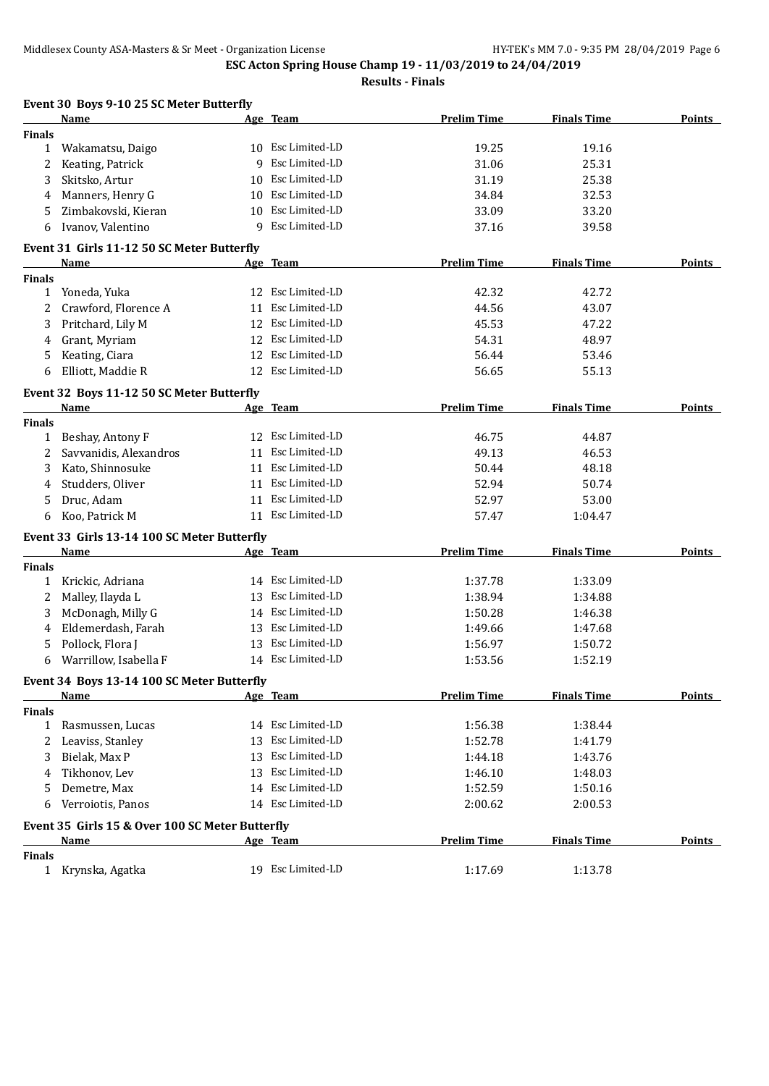|               | Event 30 Boys 9-10 25 SC Meter Butterfly        |    |                   |                    |                    |               |
|---------------|-------------------------------------------------|----|-------------------|--------------------|--------------------|---------------|
|               | Name                                            |    | Age Team          | <b>Prelim Time</b> | <b>Finals Time</b> | <b>Points</b> |
| <b>Finals</b> |                                                 |    |                   |                    |                    |               |
| 1             | Wakamatsu, Daigo                                |    | 10 Esc Limited-LD | 19.25              | 19.16              |               |
| 2             | Keating, Patrick                                | 9  | Esc Limited-LD    | 31.06              | 25.31              |               |
| 3             | Skitsko, Artur                                  | 10 | Esc Limited-LD    | 31.19              | 25.38              |               |
| 4             | Manners, Henry G                                | 10 | Esc Limited-LD    | 34.84              | 32.53              |               |
| 5             | Zimbakovski, Kieran                             | 10 | Esc Limited-LD    | 33.09              | 33.20              |               |
| 6             | Ivanov, Valentino                               | 9  | Esc Limited-LD    | 37.16              | 39.58              |               |
|               | Event 31 Girls 11-12 50 SC Meter Butterfly      |    |                   |                    |                    |               |
|               | Name                                            |    | Age Team          | <b>Prelim Time</b> | <b>Finals Time</b> | <b>Points</b> |
| <b>Finals</b> |                                                 |    |                   |                    |                    |               |
| $\mathbf{1}$  | Yoneda, Yuka                                    |    | 12 Esc Limited-LD | 42.32              | 42.72              |               |
| 2             | Crawford, Florence A                            |    | 11 Esc Limited-LD | 44.56              | 43.07              |               |
| 3             | Pritchard, Lily M                               |    | 12 Esc Limited-LD | 45.53              | 47.22              |               |
| 4             | Grant, Myriam                                   |    | 12 Esc Limited-LD | 54.31              | 48.97              |               |
| 5             | Keating, Ciara                                  |    | 12 Esc Limited-LD | 56.44              | 53.46              |               |
| 6             | Elliott, Maddie R                               |    | 12 Esc Limited-LD | 56.65              | 55.13              |               |
|               | Event 32 Boys 11-12 50 SC Meter Butterfly       |    |                   |                    |                    |               |
|               | Name                                            |    | Age Team          | <b>Prelim Time</b> | <b>Finals Time</b> | <b>Points</b> |
| <b>Finals</b> |                                                 |    |                   |                    |                    |               |
| $\mathbf{1}$  | Beshay, Antony F                                |    | 12 Esc Limited-LD | 46.75              | 44.87              |               |
| 2             | Savvanidis, Alexandros                          |    | 11 Esc Limited-LD | 49.13              | 46.53              |               |
| 3             | Kato, Shinnosuke                                |    | 11 Esc Limited-LD | 50.44              | 48.18              |               |
| 4             | Studders, Oliver                                | 11 | Esc Limited-LD    | 52.94              | 50.74              |               |
| 5             | Druc, Adam                                      | 11 | Esc Limited-LD    | 52.97              | 53.00              |               |
| 6             | Koo, Patrick M                                  |    | 11 Esc Limited-LD | 57.47              | 1:04.47            |               |
|               | Event 33 Girls 13-14 100 SC Meter Butterfly     |    |                   |                    |                    |               |
|               | Name                                            |    | Age Team          | <b>Prelim Time</b> | <b>Finals Time</b> | Points        |
| <b>Finals</b> |                                                 |    |                   |                    |                    |               |
| 1             | Krickic, Adriana                                |    | 14 Esc Limited-LD | 1:37.78            | 1:33.09            |               |
| 2             | Malley, Ilayda L                                |    | 13 Esc Limited-LD | 1:38.94            | 1:34.88            |               |
| 3             | McDonagh, Milly G                               |    | 14 Esc Limited-LD | 1:50.28            | 1:46.38            |               |
| 4             | Eldemerdash, Farah                              | 13 | Esc Limited-LD    | 1:49.66            | 1:47.68            |               |
|               | Pollock, Flora J                                | 13 | Esc Limited-LD    | 1:56.97            | 1:50.72            |               |
| 6             | Warrillow, Isabella F                           |    | 14 Esc Limited-LD | 1:53.56            | 1:52.19            |               |
|               | Event 34 Boys 13-14 100 SC Meter Butterfly      |    |                   |                    |                    |               |
|               | <u>Name</u>                                     |    | Age Team          | <b>Prelim Time</b> | <b>Finals Time</b> | <b>Points</b> |
| <b>Finals</b> |                                                 |    |                   |                    |                    |               |
| 1             | Rasmussen, Lucas                                |    | 14 Esc Limited-LD | 1:56.38            | 1:38.44            |               |
| 2             | Leaviss, Stanley                                | 13 | Esc Limited-LD    | 1:52.78            | 1:41.79            |               |
| 3             | Bielak, Max P                                   | 13 | Esc Limited-LD    | 1:44.18            | 1:43.76            |               |
| 4             | Tikhonov, Lev                                   | 13 | Esc Limited-LD    | 1:46.10            | 1:48.03            |               |
| 5             | Demetre, Max                                    |    | 14 Esc Limited-LD | 1:52.59            | 1:50.16            |               |
| 6             | Verroiotis, Panos                               |    | 14 Esc Limited-LD | 2:00.62            | 2:00.53            |               |
|               | Event 35 Girls 15 & Over 100 SC Meter Butterfly |    |                   |                    |                    |               |
|               | <b>Name</b>                                     |    | <u>Age Team</u>   | <b>Prelim Time</b> | <b>Finals Time</b> | <b>Points</b> |
| <b>Finals</b> |                                                 |    |                   |                    |                    |               |
| $\mathbf{1}$  | Krynska, Agatka                                 |    | 19 Esc Limited-LD | 1:17.69            | 1:13.78            |               |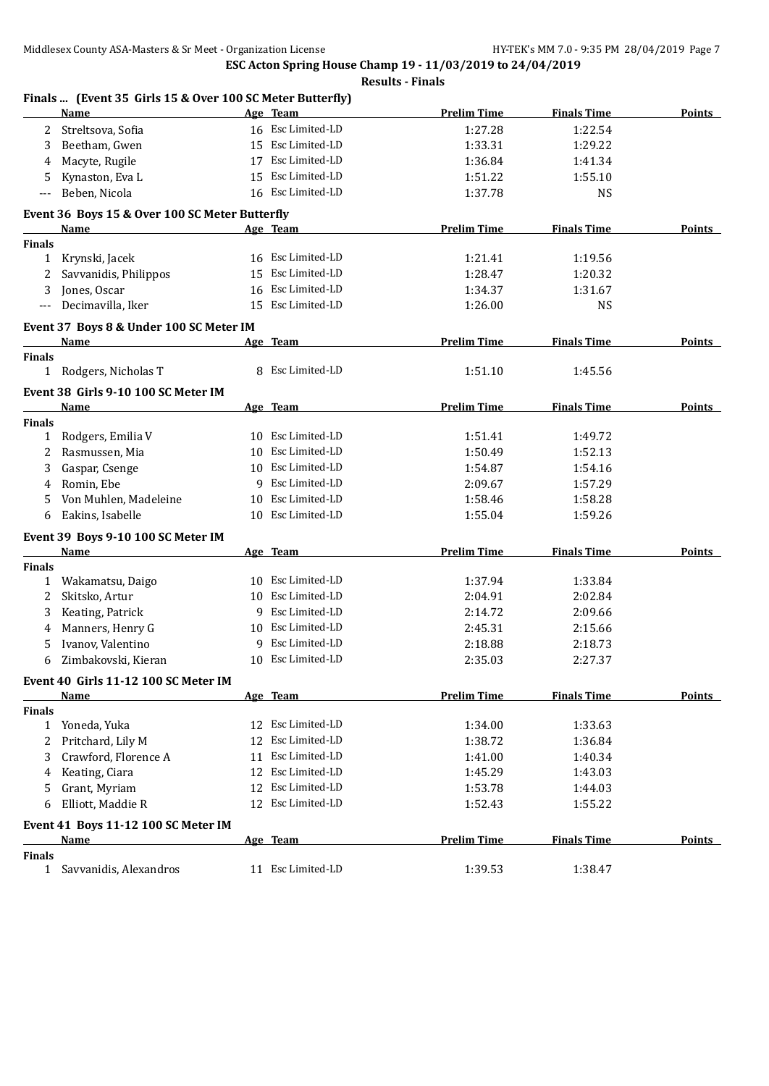**ESC Acton Spring House Champ 19 - 11/03/2019 to 24/04/2019 Results - Finals**

|               | <b>Name</b>                                    |    | Age Team          | <b>Prelim Time</b> | <b>Finals Time</b> | <b>Points</b> |
|---------------|------------------------------------------------|----|-------------------|--------------------|--------------------|---------------|
| 2             | Streltsova, Sofia                              |    | 16 Esc Limited-LD | 1:27.28            | 1:22.54            |               |
| 3             | Beetham, Gwen                                  | 15 | Esc Limited-LD    | 1:33.31            | 1:29.22            |               |
| 4             | Macyte, Rugile                                 | 17 | Esc Limited-LD    | 1:36.84            | 1:41.34            |               |
| 5             | Kynaston, Eva L                                | 15 | Esc Limited-LD    | 1:51.22            | 1:55.10            |               |
| $---$         | Beben, Nicola                                  |    | 16 Esc Limited-LD | 1:37.78            | <b>NS</b>          |               |
|               | Event 36 Boys 15 & Over 100 SC Meter Butterfly |    |                   |                    |                    |               |
|               | Name                                           |    | Age Team          | <b>Prelim Time</b> | <b>Finals Time</b> | <b>Points</b> |
| <b>Finals</b> |                                                |    |                   |                    |                    |               |
| 1             | Krynski, Jacek                                 |    | 16 Esc Limited-LD | 1:21.41            | 1:19.56            |               |
| 2             | Savvanidis, Philippos                          |    | 15 Esc Limited-LD | 1:28.47            | 1:20.32            |               |
| 3             | Jones, Oscar                                   |    | 16 Esc Limited-LD | 1:34.37            | 1:31.67            |               |
| $---$         | Decimavilla, Iker                              |    | 15 Esc Limited-LD | 1:26.00            | <b>NS</b>          |               |
|               |                                                |    |                   |                    |                    |               |
|               | Event 37 Boys 8 & Under 100 SC Meter IM        |    |                   |                    |                    |               |
|               | Name                                           |    | Age Team          | <b>Prelim Time</b> | <b>Finals Time</b> | <b>Points</b> |
| <b>Finals</b> |                                                |    |                   |                    |                    |               |
| $\mathbf{1}$  | Rodgers, Nicholas T                            |    | 8 Esc Limited-LD  | 1:51.10            | 1:45.56            |               |
|               | Event 38 Girls 9-10 100 SC Meter IM            |    |                   |                    |                    |               |
|               | Name                                           |    | Age Team          | <b>Prelim Time</b> | <b>Finals Time</b> | <b>Points</b> |
| Finals        |                                                |    |                   |                    |                    |               |
|               | 1 Rodgers, Emilia V                            |    | 10 Esc Limited-LD | 1:51.41            | 1:49.72            |               |
| 2             | Rasmussen, Mia                                 |    | 10 Esc Limited-LD | 1:50.49            | 1:52.13            |               |
| 3             | Gaspar, Csenge                                 |    | 10 Esc Limited-LD | 1:54.87            | 1:54.16            |               |
| 4             | Romin, Ebe                                     | 9  | Esc Limited-LD    | 2:09.67            | 1:57.29            |               |
| 5             | Von Muhlen, Madeleine                          | 10 | Esc Limited-LD    | 1:58.46            | 1:58.28            |               |
| 6             | Eakins, Isabelle                               |    | 10 Esc Limited-LD | 1:55.04            | 1:59.26            |               |
|               | Event 39 Boys 9-10 100 SC Meter IM             |    |                   |                    |                    |               |
|               | Name                                           |    | Age Team          | <b>Prelim Time</b> | <b>Finals Time</b> | Points        |
| <b>Finals</b> |                                                |    |                   |                    |                    |               |
| $\mathbf{1}$  | Wakamatsu, Daigo                               |    | 10 Esc Limited-LD | 1:37.94            | 1:33.84            |               |
| 2             | Skitsko, Artur                                 |    | 10 Esc Limited-LD | 2:04.91            | 2:02.84            |               |
| 3             | Keating, Patrick                               |    | 9 Esc Limited-LD  | 2:14.72            | 2:09.66            |               |
| 4             | Manners, Henry G                               |    | 10 Esc Limited-LD | 2:45.31            | 2:15.66            |               |
| 5             | Ivanov, Valentino                              |    | 9 Esc Limited-LD  | 2:18.88            | 2:18.73            |               |
| 6             | Zimbakovski, Kieran                            |    | 10 Esc Limited-LD | 2:35.03            | 2:27.37            |               |
|               |                                                |    |                   |                    |                    |               |
|               | Event 40 Girls 11-12 100 SC Meter IM           |    |                   |                    |                    |               |
|               | <u>Name</u>                                    |    | Age Team          | <b>Prelim Time</b> | <b>Finals Time</b> | <b>Points</b> |
| <b>Finals</b> | Yoneda, Yuka                                   |    | 12 Esc Limited-LD | 1:34.00            | 1:33.63            |               |
| $\mathbf{1}$  |                                                | 12 | Esc Limited-LD    | 1:38.72            | 1:36.84            |               |
| 2             | Pritchard, Lily M                              |    | Esc Limited-LD    |                    |                    |               |
| 3             | Crawford, Florence A                           | 11 |                   | 1:41.00            | 1:40.34            |               |
| 4             | Keating, Ciara                                 | 12 | Esc Limited-LD    | 1:45.29            | 1:43.03            |               |
| 5             | Grant, Myriam                                  | 12 | Esc Limited-LD    | 1:53.78            | 1:44.03            |               |
| 6             | Elliott, Maddie R                              |    | 12 Esc Limited-LD | 1:52.43            | 1:55.22            |               |
|               | Event 41 Boys 11-12 100 SC Meter IM            |    |                   |                    |                    |               |
|               | <u>Name</u>                                    |    | Age Team          | <b>Prelim Time</b> | <b>Finals Time</b> | <b>Points</b> |
| <b>Finals</b> |                                                |    |                   |                    |                    |               |
| 1             | Savvanidis, Alexandros                         |    | 11 Esc Limited-LD | 1:39.53            | 1:38.47            |               |

## **Finals ... (Event 35 Girls 15 & Over 100 SC Meter Butterfly)**